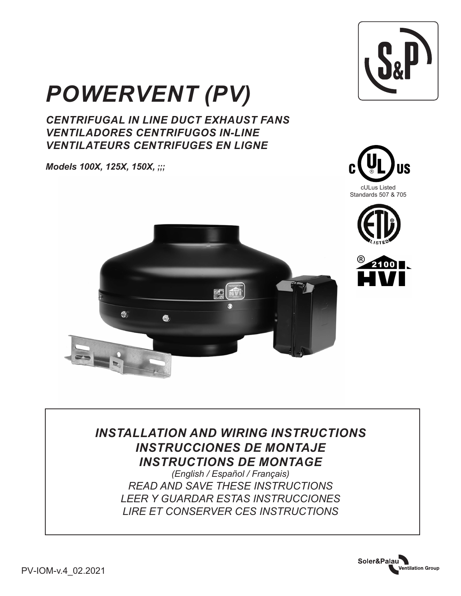# *POWERVENT (PV)*

*CENTRIFUGAL IN LINE DUCT EXHAUST FANS VENTILADORES CENTRIFUGOS IN-LINE VENTILATEURS CENTRIFUGES EN LIGNE*

*Models 100X, 125X, 150X,*  $\Box$ 





# *INSTALLATION AND WIRING INSTRUCTIONS INSTRUCCIONES DE MONTAJE INSTRUCTIONS DE MONTAGE*

*(English / Español / Français) READ AND SAVE THESE INSTRUCTIONS LEER Y GUARDAR ESTAS INSTRUCCIONES LIRE ET CONSERVER CES INSTRUCTIONS*



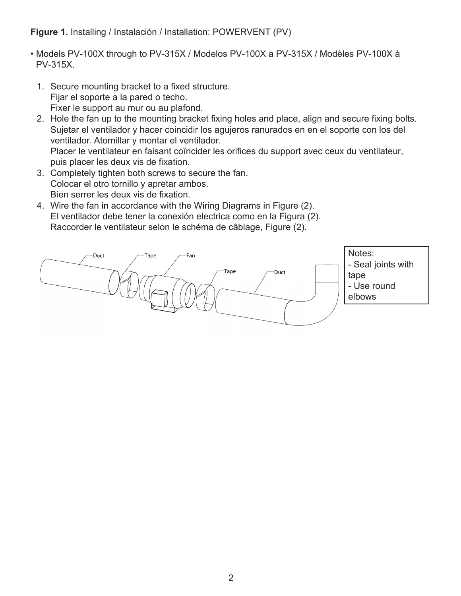# **Figure 1.** Installing / Instalación / Installation: POWERVENT (PV)

- Models PV-100X through to PV-315X / Modelos PV-100X a PV-315X / Modèles PV-100X à PV-315X.
	- 1. Secure mounting bracket to a fixed structure. Fijar el soporte a la pared o techo. Fixer le support au mur ou au plafond.
	- 2. Hole the fan up to the mounting bracket fixing holes and place, align and secure fixing bolts. Sujetar el ventilador y hacer coincidir los agujeros ranurados en en el soporte con los del ventilador. Atornillar y montar el ventilador. Placer le ventilateur en faisant coïncider les orifices du support avec ceux du ventilateur, puis placer les deux vis de fixation.
	- 3. Completely tighten both screws to secure the fan. Colocar el otro tornillo y apretar ambos. Bien serrer les deux vis de fixation.
	- 4. Wire the fan in accordance with the Wiring Diagrams in Figure (2). El ventilador debe tener la conexión electrica como en la Figura (2). Raccorder le ventilateur selon le schéma de câblage, Figure (2).

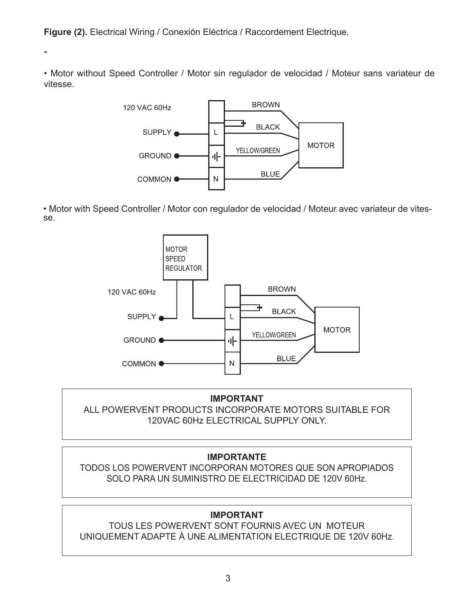**Figure (2).** Electrical Wiring / Conexión Eléctrica / Raccordement Electrique.

**-**

• Motor without Speed Controller / Motor sin regulador de velocidad / Moteur sans variateur de vitesse.



• Motor with Speed Controller / Motor con regulador de velocidad / Moteur avec variateur de vites-<br>se.



#### **IMPORTANT**

ALL POWERVENT PRODUCTS INCORPORATE MOTORS SUITABLE FOR 120VAC 60Hz ELECTRICAL SUPPLY ONLY.

#### **IMPORTANTE**

TODOS LOS POWERVENT INCORPORAN MOTORES QUE SON APROPIADOS SOLO PARA UN SUMINISTRO DE ELECTRICIDAD DE 120V 60Hz.

# **IMPORTANT**

TOUS LES POWERVENT SONT FOURNIS AVEC UN MOTEUR UNIQUEMENT ADAPTE À UNE ALIMENTATION ELECTRIQUE DE 120V 60Hz.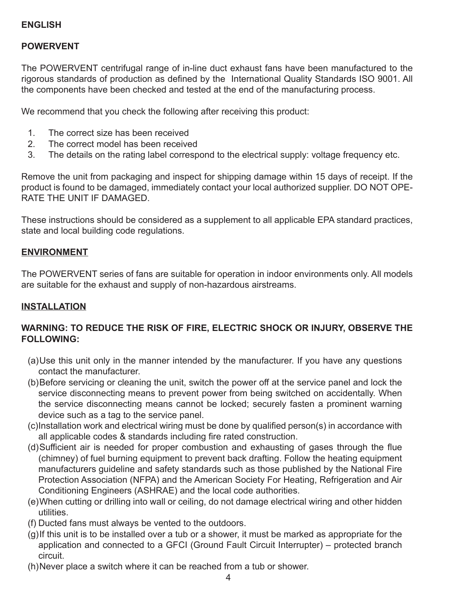# **ENGLISH**

# **POWERVENT**

The POWERVENT centrifugal range of in-line duct exhaust fans have been manufactured to the rigorous standards of production as defined by the International Quality Standards ISO 9001. All the components have been checked and tested at the end of the manufacturing process.

We recommend that you check the following after receiving this product:

- 1. The correct size has been received
- 2. The correct model has been received
- 3. The details on the rating label correspond to the electrical supply: voltage frequency etc.

Remove the unit from packaging and inspect for shipping damage within 15 days of receipt. If the product is found to be damaged, immediately contact your local authorized supplier. DO NOT OPE-RATE THE UNIT IF DAMAGED.

These instructions should be considered as a supplement to all applicable EPA standard practices, state and local building code regulations.

#### **ENVIRONMENT**

The POWERVENT series of fans are suitable for operation in indoor environments only. All models are suitable for the exhaust and supply of non-hazardous airstreams.

#### **INSTALLATION**

#### **WARNING: TO REDUCE THE RISK OF FIRE, ELECTRIC SHOCK OR INJURY, OBSERVE THE FOLLOWING:**

- (a)Use this unit only in the manner intended by the manufacturer. If you have any questions contact the manufacturer.
- (b)Before servicing or cleaning the unit, switch the power off at the service panel and lock the service disconnecting means to prevent power from being switched on accidentally. When the service disconnecting means cannot be locked; securely fasten a prominent warning device such as a tag to the service panel.
- (c)Installation work and electrical wiring must be done by qualified person(s) in accordance with all applicable codes & standards including fire rated construction.
- (d)Sufficient air is needed for proper combustion and exhausting of gases through the flue (chimney) of fuel burning equipment to prevent back drafting. Follow the heating equipment manufacturers guideline and safety standards such as those published by the National Fire Protection Association (NFPA) and the American Society For Heating, Refrigeration and Air Conditioning Engineers (ASHRAE) and the local code authorities.
- (e)When cutting or drilling into wall or ceiling, do not damage electrical wiring and other hidden utilities.
- (f) Ducted fans must always be vented to the outdoors.
- (g)If this unit is to be installed over a tub or a shower, it must be marked as appropriate for the application and connected to a GFCI (Ground Fault Circuit Interrupter) – protected branch circuit.
- (h)Never place a switch where it can be reached from a tub or shower.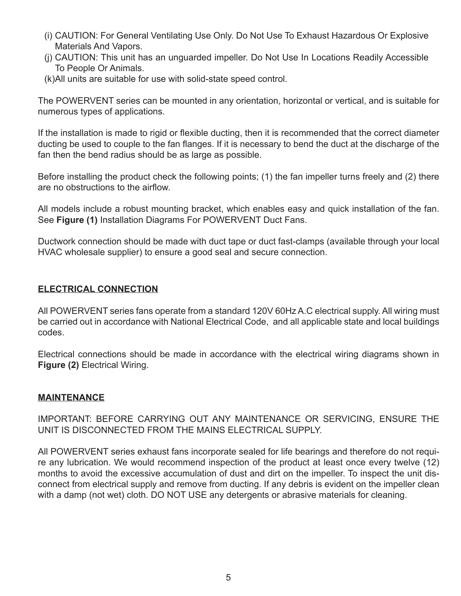- (i) CAUTION: For General Ventilating Use Only. Do Not Use To Exhaust Hazardous Or Explosive Materials And Vapors.
- (j) CAUTION: This unit has an unguarded impeller. Do Not Use In Locations Readily Accessible To People Or Animals.
- (k)All units are suitable for use with solid-state speed control.

The POWERVENT series can be mounted in any orientation, horizontal or vertical, and is suitable for numerous types of applications.

If the installation is made to rigid or flexible ducting, then it is recommended that the correct diameter ducting be used to couple to the fan flanges. If it is necessary to bend the duct at the discharge of the fan then the bend radius should be as large as possible.

Before installing the product check the following points; (1) the fan impeller turns freely and (2) there are no obstructions to the airflow.

All models include a robust mounting bracket, which enables easy and quick installation of the fan. See **Figure (1)** Installation Diagrams For POWERVENT Duct Fans.

Ductwork connection should be made with duct tape or duct fast-clamps (available through your local HVAC wholesale supplier) to ensure a good seal and secure connection.

#### **ELECTRICAL CONNECTION**

All POWERVENT series fans operate from a standard 120V 60Hz A.C electrical supply. All wiring must be carried out in accordance with National Electrical Code, and all applicable state and local buildings codes.

Electrical connections should be made in accordance with the electrical wiring diagrams shown in **Figure (2)** Electrical Wiring.

#### **MAINTENANCE**

IMPORTANT: BEFORE CARRYING OUT ANY MAINTENANCE OR SERVICING, ENSURE THE UNIT IS DISCONNECTED FROM THE MAINS ELECTRICAL SUPPLY.

All POWERVENT series exhaust fans incorporate sealed for life bearings and therefore do not require any lubrication. We would recommend inspection of the product at least once every twelve (12) months to avoid the excessive accumulation of dust and dirt on the impeller. To inspect the unit disconnect from electrical supply and remove from ducting. If any debris is evident on the impeller clean with a damp (not wet) cloth. DO NOT USE any detergents or abrasive materials for cleaning.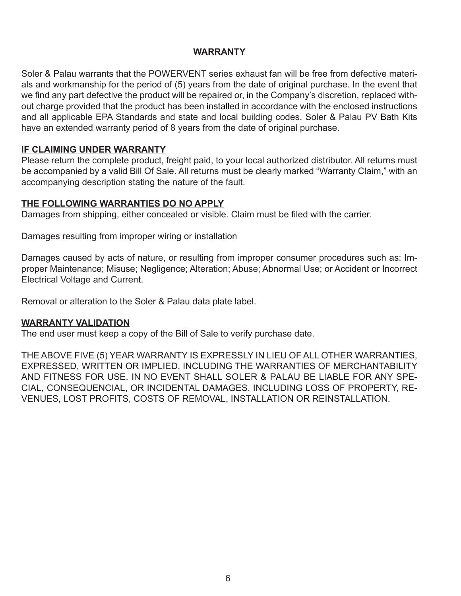#### **WARRANTY**

Soler & Palau warrants that the POWERVENT series exhaust fan will be free from defective materials and workmanship for the period of (5) years from the date of original purchase. In the event that we find any part defective the product will be repaired or, in the Company's discretion, replaced without charge provided that the product has been installed in accordance with the enclosed instructions and all applicable EPA Standards and state and local building codes. Soler & Palau PV Bath Kits have an extended warranty period of 8 years from the date of original purchase.

#### **IF CLAIMING UNDER WARRANTY**

Please return the complete product, freight paid, to your local authorized distributor. All returns must be accompanied by a valid Bill Of Sale. All returns must be clearly marked "Warranty Claim," with an accompanying description stating the nature of the fault.

#### **THE FOLLOWING WARRANTIES DO NO APPLY**

Damages from shipping, either concealed or visible. Claim must be filed with the carrier.

Damages resulting from improper wiring or installation

Damages caused by acts of nature, or resulting from improper consumer procedures such as: Improper Maintenance; Misuse; Negligence; Alteration; Abuse; Abnormal Use; or Accident or Incorrect Electrical Voltage and Current.

Removal or alteration to the Soler & Palau data plate label.

#### **WARRANTY VALIDATION**

The end user must keep a copy of the Bill of Sale to verify purchase date.

THE ABOVE FIVE (5) YEAR WARRANTY IS EXPRESSLY IN LIEU OF ALL OTHER WARRANTIES, EXPRESSED, WRITTEN OR IMPLIED, INCLUDING THE WARRANTIES OF MERCHANTABILITY AND FITNESS FOR USE. IN NO EVENT SHALL SOLER & PALAU BE LIABLE FOR ANY SPE-CIAL, CONSEQUENCIAL, OR INCIDENTAL DAMAGES, INCLUDING LOSS OF PROPERTY, RE-VENUES, LOST PROFITS, COSTS OF REMOVAL, INSTALLATION OR REINSTALLATION.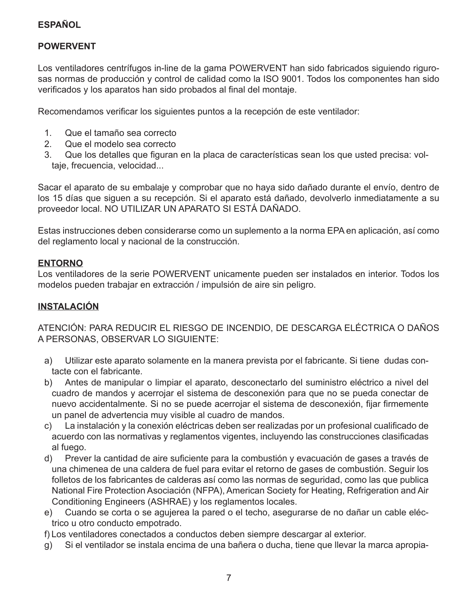# **ESPAÑOL**

# **POWERVENT**

Los ventiladores centrífugos in-line de la gama POWERVENT han sido fabricados siguiendo rigurosas normas de producción y control de calidad como la ISO 9001. Todos los componentes han sido verificados y los aparatos han sido probados al final del montaje.

Recomendamos verificar los siguientes puntos a la recepción de este ventilador:

- 1. Que el tamaño sea correcto
- 2. Que el modelo sea correcto
- 3. Que los detalles que figuran en la placa de características sean los que usted precisa: voltaje, frecuencia, velocidad...

Sacar el aparato de su embalaje y comprobar que no haya sido dañado durante el envío, dentro de los 15 días que siguen a su recepción. Si el aparato está dañado, devolverlo inmediatamente a su proveedor local. NO UTILIZAR UN APARATO SI ESTÁ DAÑADO.

Estas instrucciones deben considerarse como un suplemento a la norma EPA en aplicación, así como del reglamento local y nacional de la construcción.

#### **ENTORNO**

Los ventiladores de la serie POWERVENT unicamente pueden ser instalados en interior. Todos los modelos pueden trabajar en extracción / impulsión de aire sin peligro.

# **INSTALACIÓN**

ATENCIÓN: PARA REDUCIR EL RIESGO DE INCENDIO, DE DESCARGA ELÉCTRICA O DAÑOS A PERSONAS, OBSERVAR LO SIGUIENTE:

- a) Utilizar este aparato solamente en la manera prevista por el fabricante. Si tiene dudas contacte con el fabricante.
- b) Antes de manipular o limpiar el aparato, desconectarlo del suministro eléctrico a nivel del cuadro de mandos y acerrojar el sistema de desconexión para que no se pueda conectar de nuevo accidentalmente. Si no se puede acerrojar el sistema de desconexión, fijar firmemente un panel de advertencia muy visible al cuadro de mandos.
- c) La instalación y la conexión eléctricas deben ser realizadas por un profesional cualificado de acuerdo con las normativas y reglamentos vigentes, incluyendo las construcciones clasificadas al fuego.
- d) Prever la cantidad de aire suficiente para la combustión y evacuación de gases a través de una chimenea de una caldera de fuel para evitar el retorno de gases de combustión. Seguir los folletos de los fabricantes de calderas así como las normas de seguridad, como las que publica National Fire Protection Asociación (NFPA), American Society for Heating, Refrigeration and Air Conditioning Engineers (ASHRAE) y los reglamentos locales.
- e) Cuando se corta o se agujerea la pared o el techo, asegurarse de no dañar un cable eléctrico u otro conducto empotrado.
- f) Los ventiladores conectados a conductos deben siempre descargar al exterior.
- g) Si el ventilador se instala encima de una bañera o ducha, tiene que llevar la marca apropia-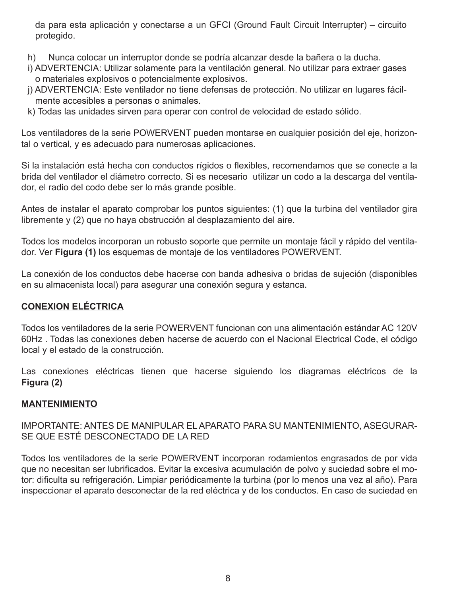da para esta aplicación y conectarse a un GFCI (Ground Fault Circuit Interrupter) – circuito protegido.

- h) Nunca colocar un interruptor donde se podría alcanzar desde la bañera o la ducha.
- i) ADVERTENCIA: Utilizar solamente para la ventilación general. No utilizar para extraer gases o materiales explosivos o potencialmente explosivos.
- j) ADVERTENCIA: Este ventilador no tiene defensas de protección. No utilizar en lugares fácilmente accesibles a personas o animales.
- k) Todas las unidades sirven para operar con control de velocidad de estado sólido.

Los ventiladores de la serie POWERVENT pueden montarse en cualquier posición del eje, horizontal o vertical, y es adecuado para numerosas aplicaciones.

Si la instalación está hecha con conductos rígidos o flexibles, recomendamos que se conecte a la brida del ventilador el diámetro correcto. Si es necesario utilizar un codo a la descarga del ventilador, el radio del codo debe ser lo más grande posible.

Antes de instalar el aparato comprobar los puntos siguientes: (1) que la turbina del ventilador gira libremente y (2) que no haya obstrucción al desplazamiento del aire.

Todos los modelos incorporan un robusto soporte que permite un montaje fácil y rápido del ventilador. Ver **Figura (1)** los esquemas de montaje de los ventiladores POWERVENT.

La conexión de los conductos debe hacerse con banda adhesiva o bridas de sujeción (disponibles en su almacenista local) para asegurar una conexión segura y estanca.

#### **CONEXION ELÉCTRICA**

Todos los ventiladores de la serie POWERVENT funcionan con una alimentación estándar AC 120V 60Hz . Todas las conexiones deben hacerse de acuerdo con el Nacional Electrical Code, el código local y el estado de la construcción.

Las conexiones eléctricas tienen que hacerse siguiendo los diagramas eléctricos de la **Figura (2)**

#### **MANTENIMIENTO**

IMPORTANTE: ANTES DE MANIPULAR EL APARATO PARA SU MANTENIMIENTO, ASEGURAR-SE QUE ESTÉ DESCONECTADO DE LA RED

Todos los ventiladores de la serie POWERVENT incorporan rodamientos engrasados de por vida que no necesitan ser lubrificados. Evitar la excesiva acumulación de polvo y suciedad sobre el motor: dificulta su refrigeración. Limpiar periódicamente la turbina (por lo menos una vez al año). Para inspeccionar el aparato desconectar de la red eléctrica y de los conductos. En caso de suciedad en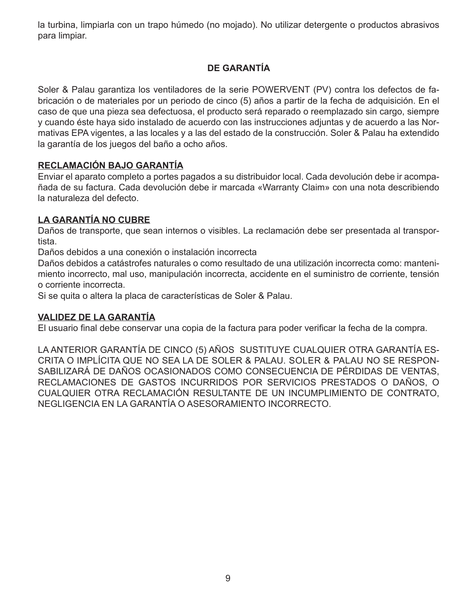la turbina, limpiarla con un trapo húmedo (no mojado). No utilizar detergente o productos abrasivos para limpiar.

# **DE GARANTÍA**

Soler & Palau garantiza los ventiladores de la serie POWERVENT (PV) contra los defectos de fabricación o de materiales por un periodo de cinco (5) años a partir de la fecha de adquisición. En el caso de que una pieza sea defectuosa, el producto será reparado o reemplazado sin cargo, siempre y cuando éste haya sido instalado de acuerdo con las instrucciones adjuntas y de acuerdo a las Normativas EPA vigentes, a las locales y a las del estado de la construcción. Soler & Palau ha extendido la garantía de los juegos del baño a ocho años.

# **RECLAMACIÓN BAJO GARANTÍA**

Enviar el aparato completo a portes pagados a su distribuidor local. Cada devolución debe ir acompañada de su factura. Cada devolución debe ir marcada «Warranty Claim» con una nota describiendo la naturaleza del defecto.

# **LA GARANTÍA NO CUBRE**

Daños de transporte, que sean internos o visibles. La reclamación debe ser presentada al transportista.

Daños debidos a una conexión o instalación incorrecta

Daños debidos a catástrofes naturales o como resultado de una utilización incorrecta como: mantenimiento incorrecto, mal uso, manipulación incorrecta, accidente en el suministro de corriente, tensión o corriente incorrecta.

Si se quita o altera la placa de características de Soler & Palau.

# **VALIDEZ DE LA GARANTÍA**

El usuario final debe conservar una copia de la factura para poder verificar la fecha de la compra.

LA ANTERIOR GARANTÍA DE CINCO (5) AÑOS SUSTITUYE CUALQUIER OTRA GARANTÍA ES-CRITA O IMPLÍCITA QUE NO SEA LA DE SOLER & PALAU. SOLER & PALAU NO SE RESPON-SABILIZARÁ DE DAÑOS OCASIONADOS COMO CONSECUENCIA DE PÉRDIDAS DE VENTAS, RECLAMACIONES DE GASTOS INCURRIDOS POR SERVICIOS PRESTADOS O DAÑOS, O CUALQUIER OTRA RECLAMACIÓN RESULTANTE DE UN INCUMPLIMIENTO DE CONTRATO, NEGLIGENCIA EN LA GARANTÍA O ASESORAMIENTO INCORRECTO.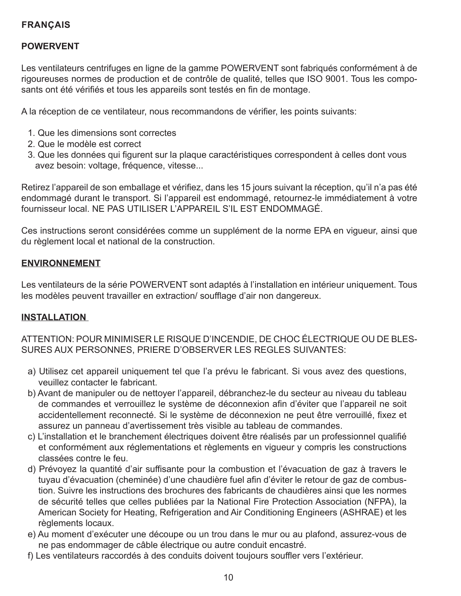# **POWERVENT**

Les ventilateurs centrifuges en ligne de la gamme POWERVENT sont fabriqués conformément à de rigoureuses normes de production et de contrôle de qualité, telles que ISO 9001. Tous les composants ont été vérifiés et tous les appareils sont testés en fin de montage.

A la réception de ce ventilateur, nous recommandons de vérifier, les points suivants:

- 1. Que les dimensions sont correctes
- 2. Que le modèle est correct
- 3. Que les données qui figurent sur la plaque caractéristiques correspondent à celles dont vous avez besoin: voltage, fréquence, vitesse...

Retirez l'appareil de son emballage et vérifiez, dans les 15 jours suivant la réception, qu'il n'a pas été endommagé durant le transport. Si l'appareil est endommagé, retournez-le immédiatement à votre fournisseur local. NE PAS UTILISER L'APPAREIL S'IL EST ENDOMMAGÉ.

Ces instructions seront considérées comme un supplément de la norme EPA en vigueur, ainsi que du règlement local et national de la construction.

#### **ENVIRONNEMENT**

Les ventilateurs de la série POWERVENT sont adaptés à l'installation en intérieur uniquement. Tous les modèles peuvent travailler en extraction/ soufflage d'air non dangereux.

#### **INSTALLATION**

ATTENTION: POUR MINIMISER LE RISQUE D'INCENDIE, DE CHOC ÉLECTRIQUE OU DE BLES-SURES AUX PERSONNES, PRIERE D'OBSERVER LES REGLES SUIVANTES:

- a) Utilisez cet appareil uniquement tel que l'a prévu le fabricant. Si vous avez des questions, veuillez contacter le fabricant.
- b) Avant de manipuler ou de nettoyer l'appareil, débranchez-le du secteur au niveau du tableau de commandes et verrouillez le système de déconnexion afin d'éviter que l'appareil ne soit accidentellement reconnecté. Si le système de déconnexion ne peut être verrouillé, fixez et assurez un panneau d'avertissement très visible au tableau de commandes.
- c) L'installation et le branchement électriques doivent être réalisés par un professionnel qualifié et conformément aux réglementations et règlements en vigueur y compris les constructions classées contre le feu.
- d) Prévoyez la quantité d'air suffisante pour la combustion et l'évacuation de gaz à travers le tuyau d'évacuation (cheminée) d'une chaudière fuel afin d'éviter le retour de gaz de combustion. Suivre les instructions des brochures des fabricants de chaudières ainsi que les normes de sécurité telles que celles publiées par la National Fire Protection Association (NFPA), la American Society for Heating, Refrigeration and Air Conditioning Engineers (ASHRAE) et les règlements locaux.
- e) Au moment d'exécuter une découpe ou un trou dans le mur ou au plafond, assurez-vous de ne pas endommager de câble électrique ou autre conduit encastré.
- f) Les ventilateurs raccordés à des conduits doivent toujours souffler vers l'extérieur.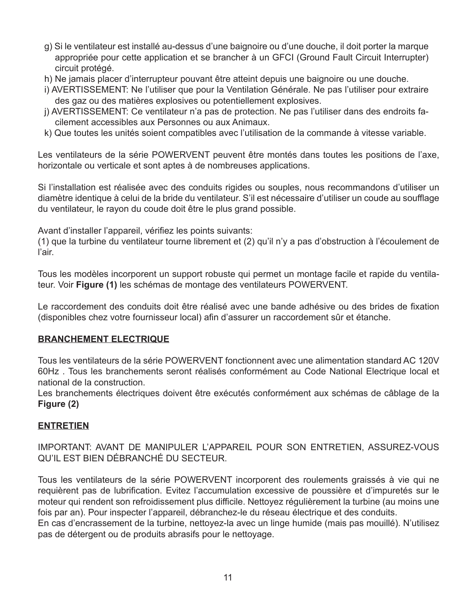- g) Si le ventilateur est installé au-dessus d'une baignoire ou d'une douche, il doit porter la marque appropriée pour cette application et se brancher à un GFCI (Ground Fault Circuit Interrupter) circuit protégé.
- h) Ne jamais placer d'interrupteur pouvant être atteint depuis une baignoire ou une douche.
- i) AVERTISSEMENT: Ne l'utiliser que pour la Ventilation Générale. Ne pas l'utiliser pour extraire des gaz ou des matières explosives ou potentiellement explosives.
- j) AVERTISSEMENT: Ce ventilateur n'a pas de protection. Ne pas l'utiliser dans des endroits facilement accessibles aux Personnes ou aux Animaux.
- k) Que toutes les unités soient compatibles avec l'utilisation de la commande à vitesse variable.

Les ventilateurs de la série POWERVENT peuvent être montés dans toutes les positions de l'axe, horizontale ou verticale et sont aptes à de nombreuses applications.

Si l'installation est réalisée avec des conduits rigides ou souples, nous recommandons d'utiliser un diamètre identique à celui de la bride du ventilateur. S'il est nécessaire d'utiliser un coude au soufflage du ventilateur, le rayon du coude doit être le plus grand possible.

Avant d'installer l'appareil, vérifiez les points suivants:

(1) que la turbine du ventilateur tourne librement et (2) qu'il n'y a pas d'obstruction à l'écoulement de l'air.

Tous les modèles incorporent un support robuste qui permet un montage facile et rapide du ventilateur. Voir **Figure (1)** les schémas de montage des ventilateurs POWERVENT.

Le raccordement des conduits doit être réalisé avec une bande adhésive ou des brides de fixation (disponibles chez votre fournisseur local) afin d'assurer un raccordement sûr et étanche.

#### **BRANCHEMENT ELECTRIQUE**

Tous les ventilateurs de la série POWERVENT fonctionnent avec une alimentation standard AC 120V 60Hz . Tous les branchements seront réalisés conformément au Code National Electrique local et national de la construction.

Les branchements électriques doivent être exécutés conformément aux schémas de câblage de la **Figure (2)**

#### **ENTRETIEN**

IMPORTANT: AVANT DE MANIPULER L'APPAREIL POUR SON ENTRETIEN, ASSUREZ-VOUS QU'IL EST BIEN DÉBRANCHÉ DU SECTEUR.

Tous les ventilateurs de la série POWERVENT incorporent des roulements graissés à vie qui ne requièrent pas de lubrification. Evitez l'accumulation excessive de poussière et d'impuretés sur le moteur qui rendent son refroidissement plus difficile. Nettoyez régulièrement la turbine (au moins une fois par an). Pour inspecter l'appareil, débranchez-le du réseau électrique et des conduits.

En cas d'encrassement de la turbine, nettoyez-la avec un linge humide (mais pas mouillé). N'utilisez pas de détergent ou de produits abrasifs pour le nettoyage.